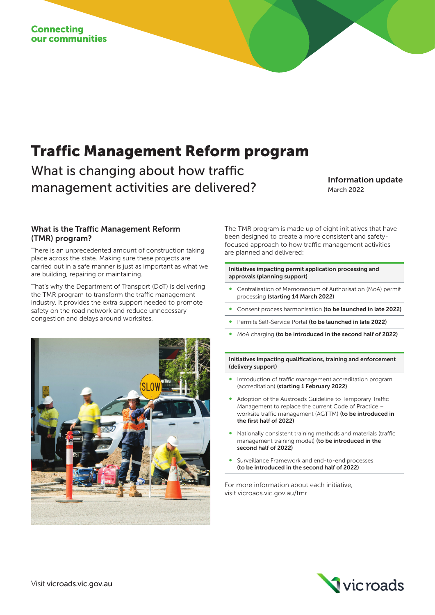# Traffic Management Reform program

What is changing about how traffic management activities are delivered?<br>
March 2022

March 2022

### What is the Traffic Management Reform (TMR) program?

There is an unprecedented amount of construction taking place across the state. Making sure these projects are carried out in a safe manner is just as important as what we are building, repairing or maintaining.

That's why the Department of Transport (DoT) is delivering the TMR program to transform the traffic management industry. It provides the extra support needed to promote safety on the road network and reduce unnecessary congestion and delays around worksites.



The TMR program is made up of eight initiatives that have been designed to create a more consistent and safetyfocused approach to how traffic management activities are planned and delivered:

#### Initiatives impacting permit application processing and approvals (planning support)

- ∞ Centralisation of Memorandum of Authorisation (MoA) permit processing (starting 14 March 2022)
- Consent process harmonisation (to be launched in late 2022)
- Permits Self-Service Portal (to be launched in late 2022)
- MoA charging (to be introduced in the second half of 2022)

Initiatives impacting qualifications, training and enforcement (delivery support)

- Introduction of traffic management accreditation program (accreditation) (starting 1 February 2022)
- Adoption of the Austroads Guideline to Temporary Traffic Management to replace the current Code of Practice – worksite traffic management (AGTTM) (to be introduced in the first half of 2022)
- Nationally consistent training methods and materials (traffic management training model) (to be introduced in the second half of 2022)
- Surveillance Framework and end-to-end processes (to be introduced in the second half of 2022)

For more information about each initiative, visit vicroads.vic.gov.au/tmr